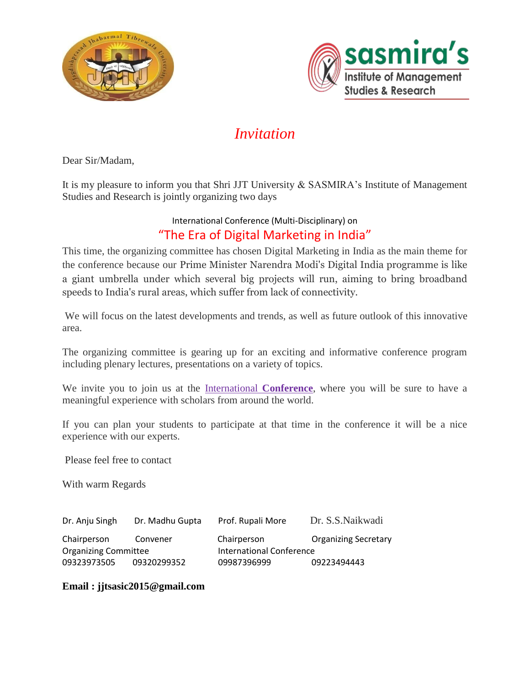



# *Invitation*

Dear Sir/Madam,

It is my pleasure to inform you that Shri JJT University & SASMIRA's Institute of Management Studies and Research is jointly organizing two days

## International Conference (Multi-Disciplinary) on "The Era of Digital Marketing in India"

This time, the organizing committee has chosen Digital Marketing in India as the main theme for the conference because our Prime Minister Narendra Modi's Digital India programme is like a giant umbrella under which several big projects will run, aiming to bring broadband speeds to India's rural areas, which suffer from lack of connectivity.

We will focus on the latest developments and trends, as well as future outlook of this innovative area.

The organizing committee is gearing up for an exciting and informative conference program including plenary lectures, presentations on a variety of topics.

We invite you to join us at the International **Conference**, where you will be sure to have a meaningful experience with scholars from around the world.

If you can plan your students to participate at that time in the conference it will be a nice experience with our experts.

Please feel free to contact

With warm Regards

| Dr. Anju Singh              | Dr. Madhu Gupta | Prof. Rupali More        | Dr. S.S. Naikwadi           |
|-----------------------------|-----------------|--------------------------|-----------------------------|
| Chairperson                 | Convener        | Chairperson              | <b>Organizing Secretary</b> |
| <b>Organizing Committee</b> |                 | International Conference |                             |
| 09323973505                 | 09320299352     | 09987396999              | 09223494443                 |

### **Email : jjtsasic2015@gmail.com**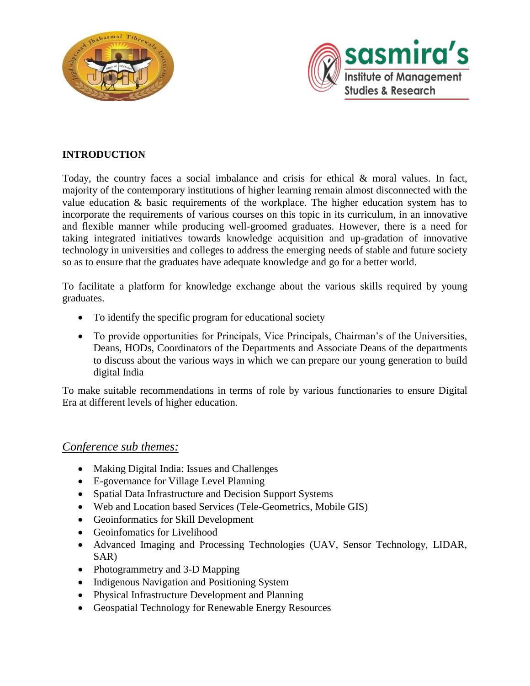



## **INTRODUCTION**

Today, the country faces a social imbalance and crisis for ethical & moral values. In fact, majority of the contemporary institutions of higher learning remain almost disconnected with the value education & basic requirements of the workplace. The higher education system has to incorporate the requirements of various courses on this topic in its curriculum, in an innovative and flexible manner while producing well-groomed graduates. However, there is a need for taking integrated initiatives towards knowledge acquisition and up-gradation of innovative technology in universities and colleges to address the emerging needs of stable and future society so as to ensure that the graduates have adequate knowledge and go for a better world.

To facilitate a platform for knowledge exchange about the various skills required by young graduates.

- To identify the specific program for educational society
- To provide opportunities for Principals, Vice Principals, Chairman's of the Universities, Deans, HODs, Coordinators of the Departments and Associate Deans of the departments to discuss about the various ways in which we can prepare our young generation to build digital India

To make suitable recommendations in terms of role by various functionaries to ensure Digital Era at different levels of higher education.

## *Conference sub themes:*

- Making Digital India: Issues and Challenges
- E-governance for Village Level Planning
- Spatial Data Infrastructure and Decision Support Systems
- Web and Location based Services (Tele-Geometrics, Mobile GIS)
- Geoinformatics for Skill Development
- Geoinfomatics for Livelihood
- Advanced Imaging and Processing Technologies (UAV, Sensor Technology, LIDAR, SAR)
- Photogrammetry and 3-D Mapping
- Indigenous Navigation and Positioning System
- Physical Infrastructure Development and Planning
- Geospatial Technology for Renewable Energy Resources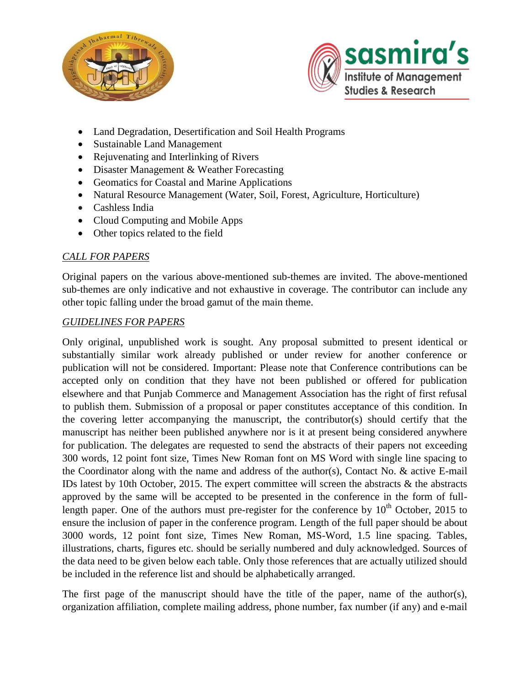



- Land Degradation, Desertification and Soil Health Programs
- Sustainable Land Management
- Rejuvenating and Interlinking of Rivers
- Disaster Management & Weather Forecasting
- Geomatics for Coastal and Marine Applications
- Natural Resource Management (Water, Soil, Forest, Agriculture, Horticulture)
- Cashless India
- Cloud Computing and Mobile Apps
- Other topics related to the field

### *CALL FOR PAPERS*

Original papers on the various above-mentioned sub-themes are invited. The above-mentioned sub-themes are only indicative and not exhaustive in coverage. The contributor can include any other topic falling under the broad gamut of the main theme.

#### *GUIDELINES FOR PAPERS*

Only original, unpublished work is sought. Any proposal submitted to present identical or substantially similar work already published or under review for another conference or publication will not be considered. Important: Please note that Conference contributions can be accepted only on condition that they have not been published or offered for publication elsewhere and that Punjab Commerce and Management Association has the right of first refusal to publish them. Submission of a proposal or paper constitutes acceptance of this condition. In the covering letter accompanying the manuscript, the contributor(s) should certify that the manuscript has neither been published anywhere nor is it at present being considered anywhere for publication. The delegates are requested to send the abstracts of their papers not exceeding 300 words, 12 point font size, Times New Roman font on MS Word with single line spacing to the Coordinator along with the name and address of the author(s), Contact No. & active E-mail IDs latest by 10th October, 2015. The expert committee will screen the abstracts & the abstracts approved by the same will be accepted to be presented in the conference in the form of fulllength paper. One of the authors must pre-register for the conference by  $10^{th}$  October, 2015 to ensure the inclusion of paper in the conference program. Length of the full paper should be about 3000 words, 12 point font size, Times New Roman, MS-Word, 1.5 line spacing. Tables, illustrations, charts, figures etc. should be serially numbered and duly acknowledged. Sources of the data need to be given below each table. Only those references that are actually utilized should be included in the reference list and should be alphabetically arranged.

The first page of the manuscript should have the title of the paper, name of the author(s), organization affiliation, complete mailing address, phone number, fax number (if any) and e-mail